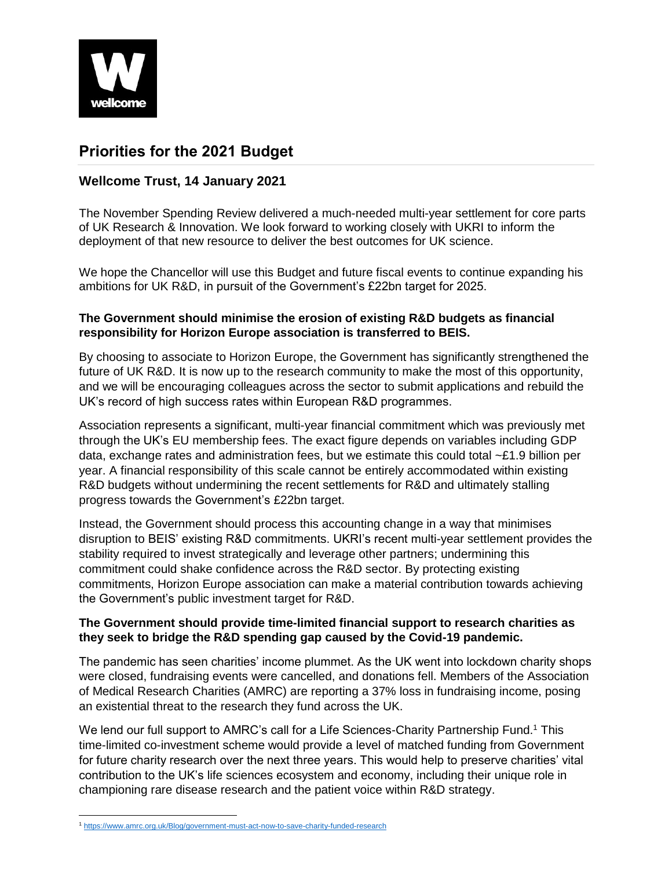

# **Priorities for the 2021 Budget**

## **Wellcome Trust, 14 January 2021**

The November Spending Review delivered a much-needed multi-year settlement for core parts of UK Research & Innovation. We look forward to working closely with UKRI to inform the deployment of that new resource to deliver the best outcomes for UK science.

We hope the Chancellor will use this Budget and future fiscal events to continue expanding his ambitions for UK R&D, in pursuit of the Government's £22bn target for 2025.

### **The Government should minimise the erosion of existing R&D budgets as financial responsibility for Horizon Europe association is transferred to BEIS.**

By choosing to associate to Horizon Europe, the Government has significantly strengthened the future of UK R&D. It is now up to the research community to make the most of this opportunity, and we will be encouraging colleagues across the sector to submit applications and rebuild the UK's record of high success rates within European R&D programmes.

Association represents a significant, multi-year financial commitment which was previously met through the UK's EU membership fees. The exact figure depends on variables including GDP data, exchange rates and administration fees, but we estimate this could total ~£1.9 billion per year. A financial responsibility of this scale cannot be entirely accommodated within existing R&D budgets without undermining the recent settlements for R&D and ultimately stalling progress towards the Government's £22bn target.

Instead, the Government should process this accounting change in a way that minimises disruption to BEIS' existing R&D commitments. UKRI's recent multi-year settlement provides the stability required to invest strategically and leverage other partners; undermining this commitment could shake confidence across the R&D sector. By protecting existing commitments, Horizon Europe association can make a material contribution towards achieving the Government's public investment target for R&D.

#### **The Government should provide time-limited financial support to research charities as they seek to bridge the R&D spending gap caused by the Covid-19 pandemic.**

The pandemic has seen charities' income plummet. As the UK went into lockdown charity shops were closed, fundraising events were cancelled, and donations fell. Members of the Association of Medical Research Charities (AMRC) are reporting a 37% loss in fundraising income, posing an existential threat to the research they fund across the UK.

We lend our full support to AMRC's call for a Life Sciences-Charity Partnership Fund.<sup>1</sup> This time-limited co-investment scheme would provide a level of matched funding from Government for future charity research over the next three years. This would help to preserve charities' vital contribution to the UK's life sciences ecosystem and economy, including their unique role in championing rare disease research and the patient voice within R&D strategy.

 $\overline{\phantom{a}}$ <sup>1</sup> <https://www.amrc.org.uk/Blog/government-must-act-now-to-save-charity-funded-research>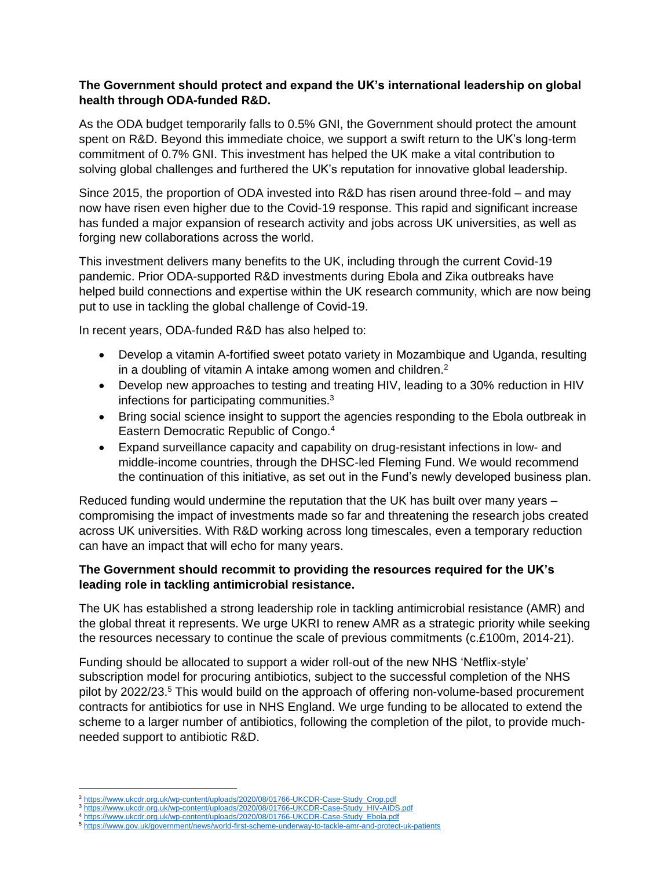#### **The Government should protect and expand the UK's international leadership on global health through ODA-funded R&D.**

As the ODA budget temporarily falls to 0.5% GNI, the Government should protect the amount spent on R&D. Beyond this immediate choice, we support a swift return to the UK's long-term commitment of 0.7% GNI. This investment has helped the UK make a vital contribution to solving global challenges and furthered the UK's reputation for innovative global leadership.

Since 2015, the proportion of ODA invested into R&D has risen around three-fold – and may now have risen even higher due to the Covid-19 response. This rapid and significant increase has funded a major expansion of research activity and jobs across UK universities, as well as forging new collaborations across the world.

This investment delivers many benefits to the UK, including through the current Covid-19 pandemic. Prior ODA-supported R&D investments during Ebola and Zika outbreaks have helped build connections and expertise within the UK research community, which are now being put to use in tackling the global challenge of Covid-19.

In recent years, ODA-funded R&D has also helped to:

- Develop a vitamin A-fortified sweet potato variety in Mozambique and Uganda, resulting in a doubling of vitamin A intake among women and children.<sup>2</sup>
- Develop new approaches to testing and treating HIV, leading to a 30% reduction in HIV infections for participating communities.<sup>3</sup>
- Bring social science insight to support the agencies responding to the Ebola outbreak in Eastern Democratic Republic of Congo.<sup>4</sup>
- Expand surveillance capacity and capability on drug-resistant infections in low- and middle-income countries, through the DHSC-led Fleming Fund. We would recommend the continuation of this initiative, as set out in the Fund's newly developed business plan.

Reduced funding would undermine the reputation that the UK has built over many years – compromising the impact of investments made so far and threatening the research jobs created across UK universities. With R&D working across long timescales, even a temporary reduction can have an impact that will echo for many years.

#### **The Government should recommit to providing the resources required for the UK's leading role in tackling antimicrobial resistance.**

The UK has established a strong leadership role in tackling antimicrobial resistance (AMR) and the global threat it represents. We urge UKRI to renew AMR as a strategic priority while seeking the resources necessary to continue the scale of previous commitments (c.£100m, 2014-21).

Funding should be allocated to support a wider roll-out of the new NHS 'Netflix-style' subscription model for procuring antibiotics, subject to the successful completion of the NHS pilot by 2022/23.<sup>5</sup> This would build on the approach of offering non-volume-based procurement contracts for antibiotics for use in NHS England. We urge funding to be allocated to extend the scheme to a larger number of antibiotics, following the completion of the pilot, to provide muchneeded support to antibiotic R&D.

 $\overline{a}$ <sup>2</sup> [https://www.ukcdr.org.uk/wp-content/uploads/2020/08/01766-UKCDR-Case-Study\\_Crop.pdf](https://www.ukcdr.org.uk/wp-content/uploads/2020/08/01766-UKCDR-Case-Study_Crop.pdf)

<sup>3</sup> [https://www.ukcdr.org.uk/wp-content/uploads/2020/08/01766-UKCDR-Case-Study\\_HIV-AIDS.pdf](https://www.ukcdr.org.uk/wp-content/uploads/2020/08/01766-UKCDR-Case-Study_HIV-AIDS.pdf)

<sup>4</sup> [https://www.ukcdr.org.uk/wp-content/uploads/2020/08/01766-UKCDR-Case-Study\\_Ebola.pdf](https://www.ukcdr.org.uk/wp-content/uploads/2020/08/01766-UKCDR-Case-Study_Ebola.pdf)

<sup>5</sup> <https://www.gov.uk/government/news/world-first-scheme-underway-to-tackle-amr-and-protect-uk-patients>